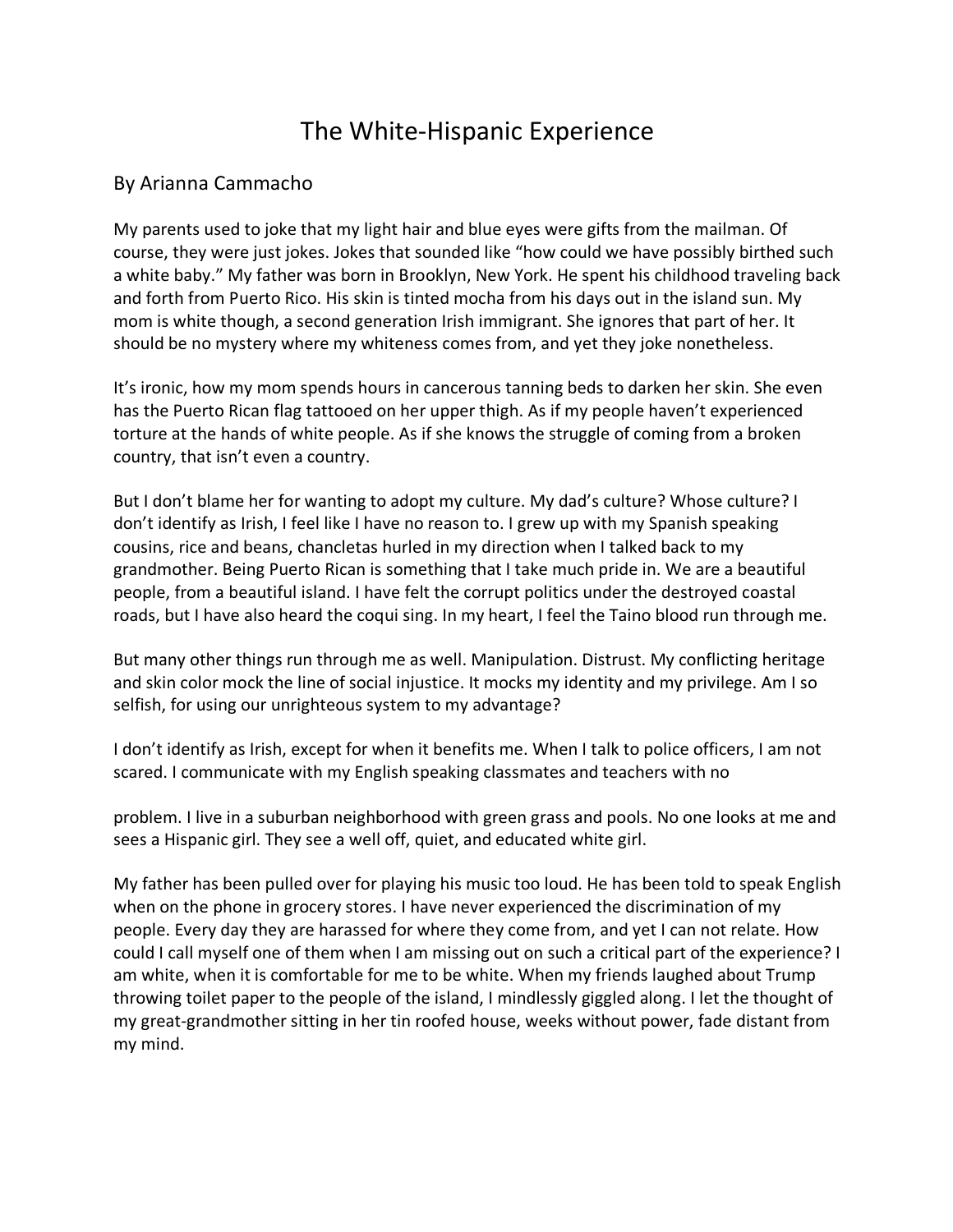## The White-Hispanic Experience

## By Arianna Cammacho

My parents used to joke that my light hair and blue eyes were gifts from the mailman. Of course, they were just jokes. Jokes that sounded like "how could we have possibly birthed such a white baby." My father was born in Brooklyn, New York. He spent his childhood traveling back and forth from Puerto Rico. His skin is tinted mocha from his days out in the island sun. My mom is white though, a second generation Irish immigrant. She ignores that part of her. It should be no mystery where my whiteness comes from, and yet they joke nonetheless.

It's ironic, how my mom spends hours in cancerous tanning beds to darken her skin. She even has the Puerto Rican flag tattooed on her upper thigh. As if my people haven't experienced torture at the hands of white people. As if she knows the struggle of coming from a broken country, that isn't even a country.

But I don't blame her for wanting to adopt my culture. My dad's culture? Whose culture? I don't identify as Irish, I feel like I have no reason to. I grew up with my Spanish speaking cousins, rice and beans, chancletas hurled in my direction when I talked back to my grandmother. Being Puerto Rican is something that I take much pride in. We are a beautiful people, from a beautiful island. I have felt the corrupt politics under the destroyed coastal roads, but I have also heard the coqui sing. In my heart, I feel the Taino blood run through me.

But many other things run through me as well. Manipulation. Distrust. My conflicting heritage and skin color mock the line of social injustice. It mocks my identity and my privilege. Am I so selfish, for using our unrighteous system to my advantage?

I don't identify as Irish, except for when it benefits me. When I talk to police officers, I am not scared. I communicate with my English speaking classmates and teachers with no

problem. I live in a suburban neighborhood with green grass and pools. No one looks at me and sees a Hispanic girl. They see a well off, quiet, and educated white girl.

My father has been pulled over for playing his music too loud. He has been told to speak English when on the phone in grocery stores. I have never experienced the discrimination of my people. Every day they are harassed for where they come from, and yet I can not relate. How could I call myself one of them when I am missing out on such a critical part of the experience? I am white, when it is comfortable for me to be white. When my friends laughed about Trump throwing toilet paper to the people of the island, I mindlessly giggled along. I let the thought of my great-grandmother sitting in her tin roofed house, weeks without power, fade distant from my mind.